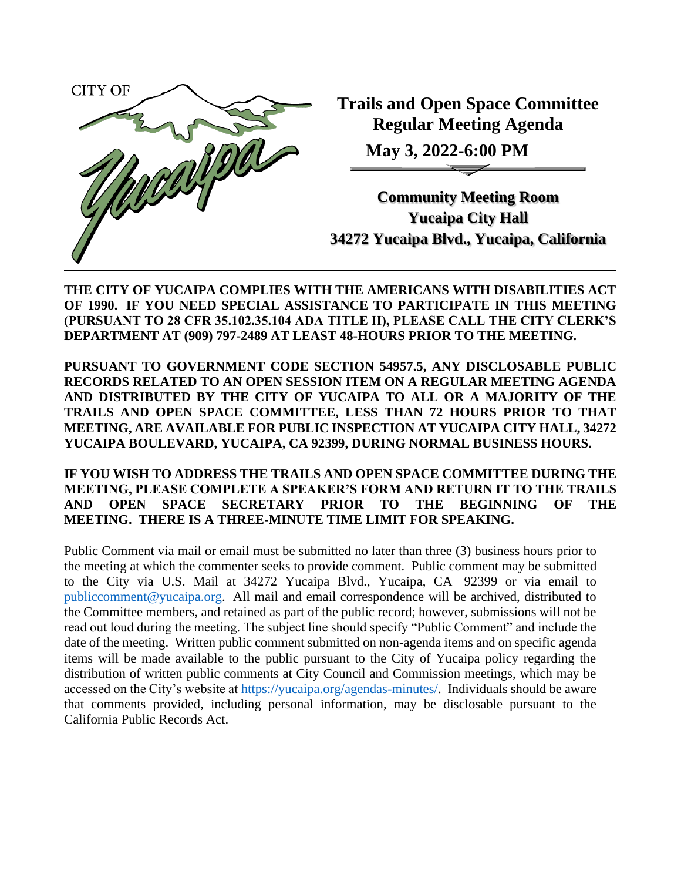

**Trails and Open Space Committee Regular Meeting Agenda**

**May 3, 2022-6:00 PM**

**Community Meeting Room Yucaipa City Hall 34272 Yucaipa Blvd., Yucaipa, California**

**THE CITY OF YUCAIPA COMPLIES WITH THE AMERICANS WITH DISABILITIES ACT OF 1990. IF YOU NEED SPECIAL ASSISTANCE TO PARTICIPATE IN THIS MEETING (PURSUANT TO 28 CFR 35.102.35.104 ADA TITLE II), PLEASE CALL THE CITY CLERK'S DEPARTMENT AT (909) 797-2489 AT LEAST 48-HOURS PRIOR TO THE MEETING.**

**PURSUANT TO GOVERNMENT CODE SECTION 54957.5, ANY DISCLOSABLE PUBLIC RECORDS RELATED TO AN OPEN SESSION ITEM ON A REGULAR MEETING AGENDA AND DISTRIBUTED BY THE CITY OF YUCAIPA TO ALL OR A MAJORITY OF THE TRAILS AND OPEN SPACE COMMITTEE, LESS THAN 72 HOURS PRIOR TO THAT MEETING, ARE AVAILABLE FOR PUBLIC INSPECTION AT YUCAIPA CITY HALL, 34272 YUCAIPA BOULEVARD, YUCAIPA, CA 92399, DURING NORMAL BUSINESS HOURS.**

**IF YOU WISH TO ADDRESS THE TRAILS AND OPEN SPACE COMMITTEE DURING THE MEETING, PLEASE COMPLETE A SPEAKER'S FORM AND RETURN IT TO THE TRAILS AND OPEN SPACE SECRETARY PRIOR TO THE BEGINNING OF THE MEETING. THERE IS A THREE-MINUTE TIME LIMIT FOR SPEAKING.**

Public Comment via mail or email must be submitted no later than three (3) business hours prior to the meeting at which the commenter seeks to provide comment. Public comment may be submitted to the City via U.S. Mail at 34272 Yucaipa Blvd., Yucaipa, CA 92399 or via email to [publiccomment@yucaipa.org.](mailto:publiccomment@yucaipa.org) All mail and email correspondence will be archived, distributed to the Committee members, and retained as part of the public record; however, submissions will not be read out loud during the meeting. The subject line should specify "Public Comment" and include the date of the meeting. Written public comment submitted on non-agenda items and on specific agenda items will be made available to the public pursuant to the City of Yucaipa policy regarding the distribution of written public comments at City Council and Commission meetings, which may be accessed on the City's website at [https://yucaipa.org/agendas-minutes/.](https://linkprotect.cudasvc.com/url?a=https%3a%2f%2fyucaipa.org%2fagendas-minutes%2f&c=E,1,8iu_aLaCQsOmYjnWdhNeQgU9-XVoB5a0CzOs_nrmw5nAY-k_y7XZa3JAnXx2dduIQhERc5pzGH0uA9TG0OvmT6S6_YXFTmLh8Gy4-DGG9zUALHtuXEtWj2x5&typo=1) Individuals should be aware that comments provided, including personal information, may be disclosable pursuant to the California Public Records Act.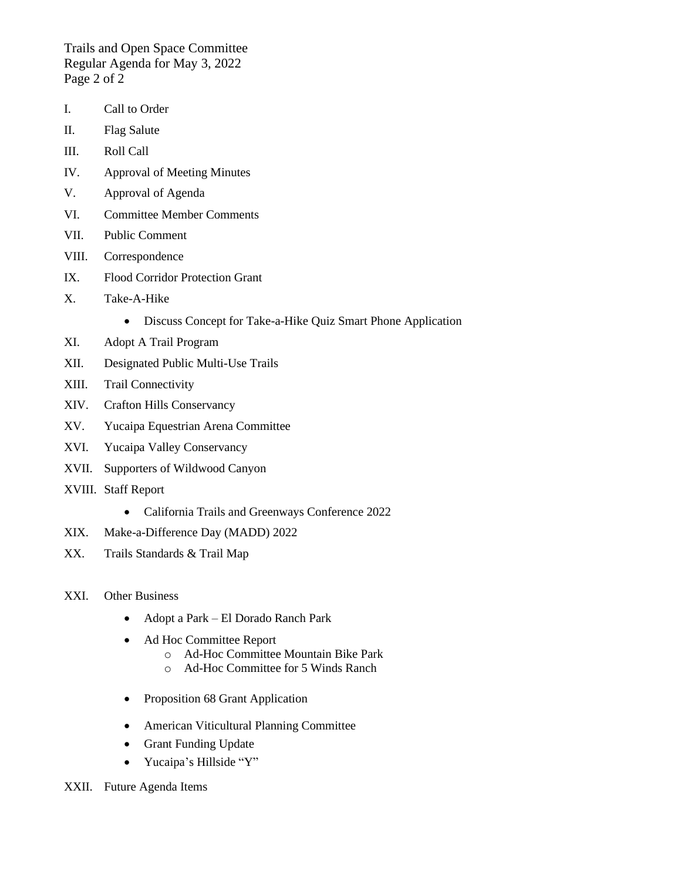Trails and Open Space Committee Regular Agenda for May 3, 2022 Page 2 of 2

- I. Call to Order
- II. Flag Salute
- III. Roll Call
- IV. Approval of Meeting Minutes
- V. Approval of Agenda
- VI. Committee Member Comments
- VII. Public Comment
- VIII. Correspondence
- IX. Flood Corridor Protection Grant
- X. Take-A-Hike
	- Discuss Concept for Take-a-Hike Quiz Smart Phone Application
- XI. Adopt A Trail Program
- XII. Designated Public Multi-Use Trails
- XIII. Trail Connectivity
- XIV. Crafton Hills Conservancy
- XV. Yucaipa Equestrian Arena Committee
- XVI. Yucaipa Valley Conservancy
- XVII. Supporters of Wildwood Canyon
- XVIII. Staff Report
	- California Trails and Greenways Conference 2022
- XIX. Make-a-Difference Day (MADD) 2022
- XX. Trails Standards & Trail Map
- XXI. Other Business
	- Adopt a Park El Dorado Ranch Park
	- Ad Hoc Committee Report
		- o Ad-Hoc Committee Mountain Bike Park
		- o Ad-Hoc Committee for 5 Winds Ranch
	- Proposition 68 Grant Application
	- American Viticultural Planning Committee
	- Grant Funding Update
	- Yucaipa's Hillside "Y"
- XXII. Future Agenda Items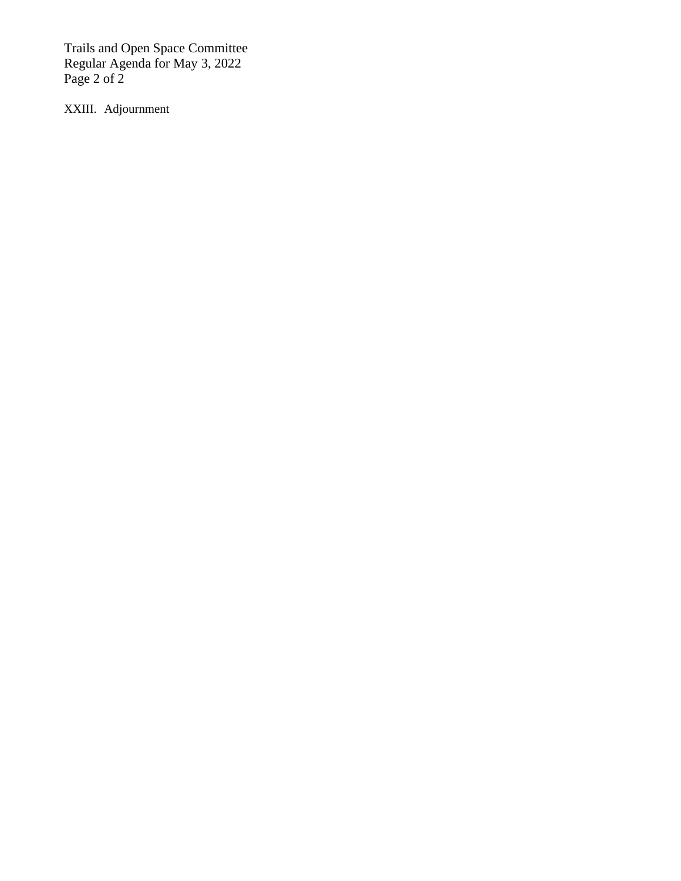Trails and Open Space Committee Regular Agenda for May 3, 2022 Page 2 of 2

XXIII. Adjournment